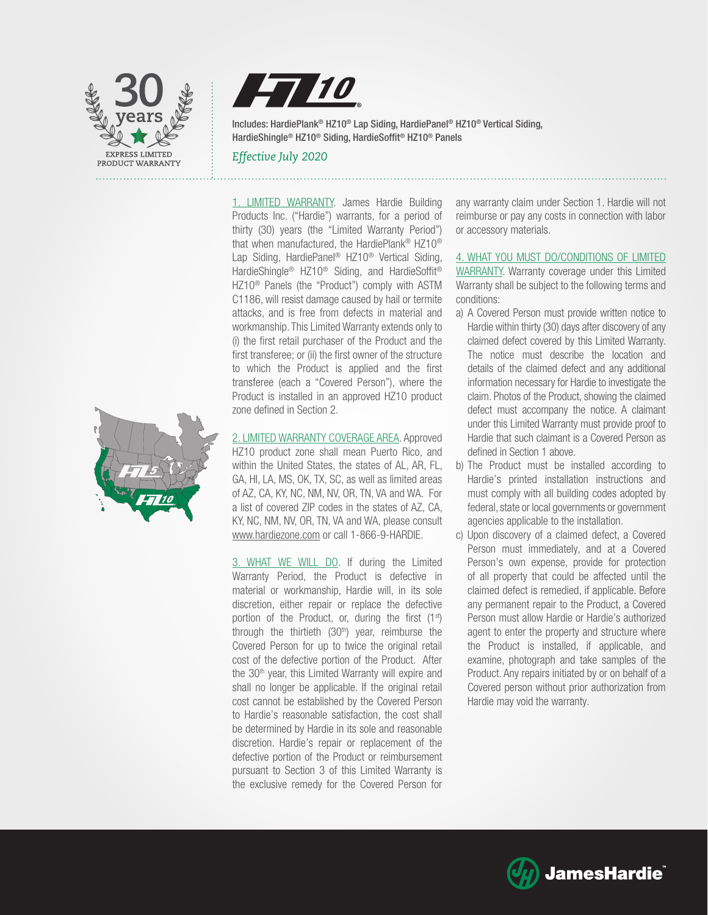



Includes: HardiePlank® HZ10® Lap Siding, HardiePanel® HZ10® Vertical Siding, HardieShingle® HZ10® Siding, HardieSoffit® HZ10® Panels

## *Effective July 2020*

1. LIMITED WARRANTY. James Hardie Building Products Inc. ("Hardie") warrants, for a period of thirty (30) years (the "Limited Warranty Period") that when manufactured, the HardiePlank® HZ10® Lap Siding, HardiePanel® HZ10® Vertical Siding, HardieShingle® HZ10® Siding, and HardieSoffit® HZ10® Panels (the "Product") comply with ASTM C1186, will resist damage caused by hail or termite attacks, and is free from defects in material and workmanship. This Limited Warranty extends only to (i) the first retail purchaser of the Product and the first transferee; or (ii) the first owner of the structure to which the Product is applied and the first transferee (each a "Covered Person"), where the Product is installed in an approved HZ10 product zone defined in Section 2.

2. LIMITED WARRANTY COVERAGE AREA. Approved HZ10 product zone shall mean Puerto Rico, and within the United States, the states of AL, AR, FL, GA, HI, LA, MS, OK, TX, SC, as well as limited areas of AZ, CA, KY, NC, NM, NV, OR, TN, VA and WA. For a list of covered ZIP codes in the states of AZ, CA, KY, NC, NM, NV, OR, TN, VA and WA, please consult www.hardiezone.com or call 1-866-9-HARDIE.

3. WHAT WE WILL DO. If during the Limited Warranty Period, the Product is defective in material or workmanship, Hardie will, in its sole discretion, either repair or replace the defective portion of the Product, or, during the first  $(1<sup>st</sup>)$ through the thirtieth  $(30<sup>th</sup>)$  year, reimburse the Covered Person for up to twice the original retail cost of the defective portion of the Product. After the 30<sup>th</sup> year, this Limited Warranty will expire and shall no longer be applicable. If the original retail cost cannot be established by the Covered Person to Hardie's reasonable satisfaction, the cost shall be determined by Hardie in its sole and reasonable discretion. Hardie's repair or replacement of the defective portion of the Product or reimbursement pursuant to Section 3 of this Limited Warranty is the exclusive remedy for the Covered Person for

any warranty claim under Section 1. Hardie will not reimburse or pay any costs in connection with labor or accessory materials.

4. WHAT YOU MUST DO/CONDITIONS OF LIMITED WARRANTY. Warranty coverage under this Limited Warranty shall be subject to the following terms and conditions:

- a) A Covered Person must provide written notice to Hardie within thirty (30) days after discovery of any claimed defect covered by this Limited Warranty. The notice must describe the location and details of the claimed defect and any additional information necessary for Hardie to investigate the claim. Photos of the Product, showing the claimed defect must accompany the notice. A claimant under this Limited Warranty must provide proof to Hardie that such claimant is a Covered Person as defined in Section 1 above.
- b) The Product must be installed according to Hardie's printed installation instructions and must comply with all building codes adopted by federal, state or local governments or government agencies applicable to the installation.
- c) Upon discovery of a claimed defect, a Covered Person must immediately, and at a Covered Person's own expense, provide for protection of all property that could be affected until the claimed defect is remedied, if applicable. Before any permanent repair to the Product, a Covered Person must allow Hardie or Hardie's authorized agent to enter the property and structure where the Product is installed, if applicable, and examine, photograph and take samples of the Product. Any repairs initiated by or on behalf of a Covered person without prior authorization from Hardie may void the warranty.